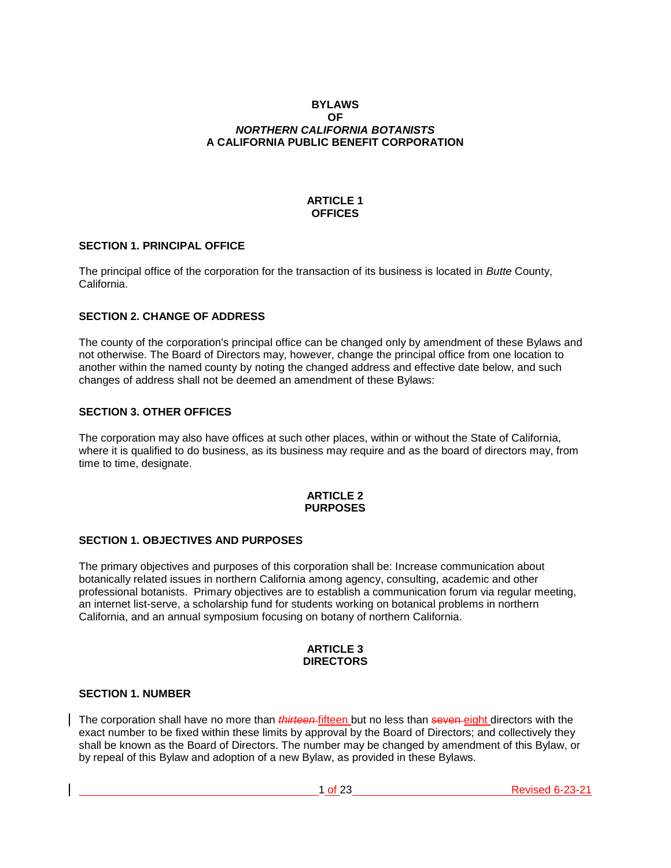#### **BYLAWS OF** *NORTHERN CALIFORNIA BOTANISTS* **A CALIFORNIA PUBLIC BENEFIT CORPORATION**

#### **ARTICLE 1 OFFICES**

### **SECTION 1. PRINCIPAL OFFICE**

The principal office of the corporation for the transaction of its business is located in *Butte* County, California.

#### **SECTION 2. CHANGE OF ADDRESS**

The county of the corporation's principal office can be changed only by amendment of these Bylaws and not otherwise. The Board of Directors may, however, change the principal office from one location to another within the named county by noting the changed address and effective date below, and such changes of address shall not be deemed an amendment of these Bylaws:

#### **SECTION 3. OTHER OFFICES**

The corporation may also have offices at such other places, within or without the State of California, where it is qualified to do business, as its business may require and as the board of directors may, from time to time, designate.

#### **ARTICLE 2 PURPOSES**

#### **SECTION 1. OBJECTIVES AND PURPOSES**

The primary objectives and purposes of this corporation shall be: Increase communication about botanically related issues in northern California among agency, consulting, academic and other professional botanists. Primary objectives are to establish a communication forum via regular meeting, an internet list-serve, a scholarship fund for students working on botanical problems in northern California, and an annual symposium focusing on botany of northern California.

#### **ARTICLE 3 DIRECTORS**

#### **SECTION 1. NUMBER**

The corporation shall have no more than *thirteen* fifteen but no less than seven eight directors with the exact number to be fixed within these limits by approval by the Board of Directors; and collectively they shall be known as the Board of Directors. The number may be changed by amendment of this Bylaw, or by repeal of this Bylaw and adoption of a new Bylaw, as provided in these Bylaws.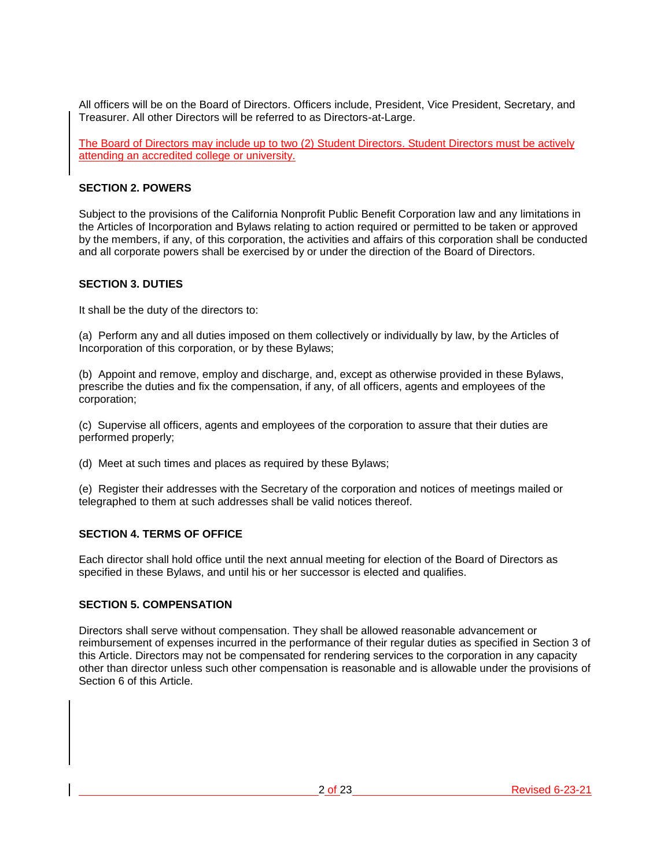All officers will be on the Board of Directors. Officers include, President, Vice President, Secretary, and Treasurer. All other Directors will be referred to as Directors-at-Large.

The Board of Directors may include up to two (2) Student Directors. Student Directors must be actively attending an accredited college or university.

## **SECTION 2. POWERS**

Subject to the provisions of the California Nonprofit Public Benefit Corporation law and any limitations in the Articles of Incorporation and Bylaws relating to action required or permitted to be taken or approved by the members, if any, of this corporation, the activities and affairs of this corporation shall be conducted and all corporate powers shall be exercised by or under the direction of the Board of Directors.

#### **SECTION 3. DUTIES**

It shall be the duty of the directors to:

(a) Perform any and all duties imposed on them collectively or individually by law, by the Articles of Incorporation of this corporation, or by these Bylaws;

(b) Appoint and remove, employ and discharge, and, except as otherwise provided in these Bylaws, prescribe the duties and fix the compensation, if any, of all officers, agents and employees of the corporation;

(c) Supervise all officers, agents and employees of the corporation to assure that their duties are performed properly;

(d) Meet at such times and places as required by these Bylaws;

(e) Register their addresses with the Secretary of the corporation and notices of meetings mailed or telegraphed to them at such addresses shall be valid notices thereof.

#### **SECTION 4. TERMS OF OFFICE**

Each director shall hold office until the next annual meeting for election of the Board of Directors as specified in these Bylaws, and until his or her successor is elected and qualifies.

# **SECTION 5. COMPENSATION**

Directors shall serve without compensation. They shall be allowed reasonable advancement or reimbursement of expenses incurred in the performance of their regular duties as specified in Section 3 of this Article. Directors may not be compensated for rendering services to the corporation in any capacity other than director unless such other compensation is reasonable and is allowable under the provisions of Section 6 of this Article.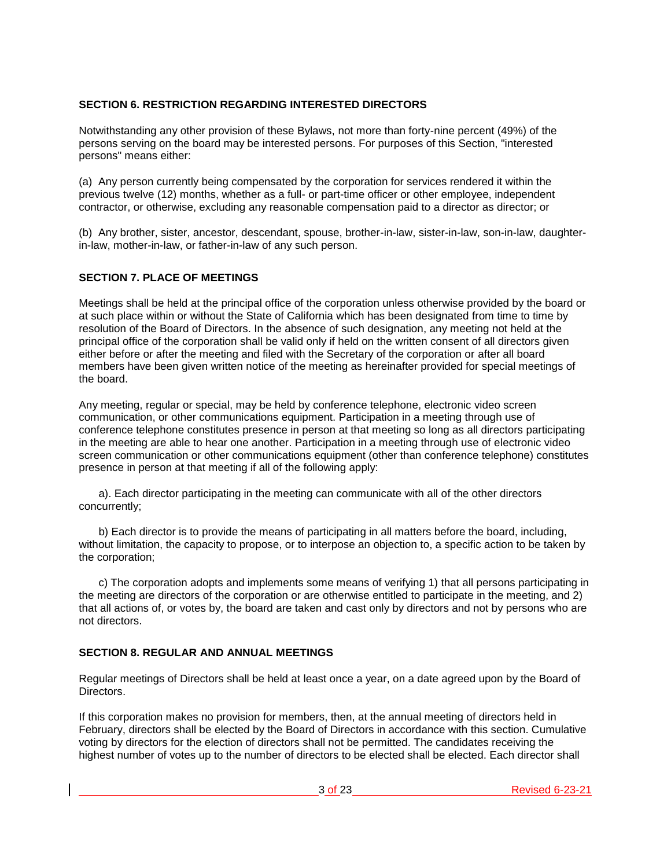# **SECTION 6. RESTRICTION REGARDING INTERESTED DIRECTORS**

Notwithstanding any other provision of these Bylaws, not more than forty-nine percent (49%) of the persons serving on the board may be interested persons. For purposes of this Section, "interested persons" means either:

(a) Any person currently being compensated by the corporation for services rendered it within the previous twelve (12) months, whether as a full- or part-time officer or other employee, independent contractor, or otherwise, excluding any reasonable compensation paid to a director as director; or

(b) Any brother, sister, ancestor, descendant, spouse, brother-in-law, sister-in-law, son-in-law, daughterin-law, mother-in-law, or father-in-law of any such person.

# **SECTION 7. PLACE OF MEETINGS**

Meetings shall be held at the principal office of the corporation unless otherwise provided by the board or at such place within or without the State of California which has been designated from time to time by resolution of the Board of Directors. In the absence of such designation, any meeting not held at the principal office of the corporation shall be valid only if held on the written consent of all directors given either before or after the meeting and filed with the Secretary of the corporation or after all board members have been given written notice of the meeting as hereinafter provided for special meetings of the board.

Any meeting, regular or special, may be held by conference telephone, electronic video screen communication, or other communications equipment. Participation in a meeting through use of conference telephone constitutes presence in person at that meeting so long as all directors participating in the meeting are able to hear one another. Participation in a meeting through use of electronic video screen communication or other communications equipment (other than conference telephone) constitutes presence in person at that meeting if all of the following apply:

a). Each director participating in the meeting can communicate with all of the other directors concurrently;

b) Each director is to provide the means of participating in all matters before the board, including, without limitation, the capacity to propose, or to interpose an objection to, a specific action to be taken by the corporation;

c) The corporation adopts and implements some means of verifying 1) that all persons participating in the meeting are directors of the corporation or are otherwise entitled to participate in the meeting, and 2) that all actions of, or votes by, the board are taken and cast only by directors and not by persons who are not directors.

### **SECTION 8. REGULAR AND ANNUAL MEETINGS**

Regular meetings of Directors shall be held at least once a year, on a date agreed upon by the Board of Directors.

If this corporation makes no provision for members, then, at the annual meeting of directors held in February, directors shall be elected by the Board of Directors in accordance with this section. Cumulative voting by directors for the election of directors shall not be permitted. The candidates receiving the highest number of votes up to the number of directors to be elected shall be elected. Each director shall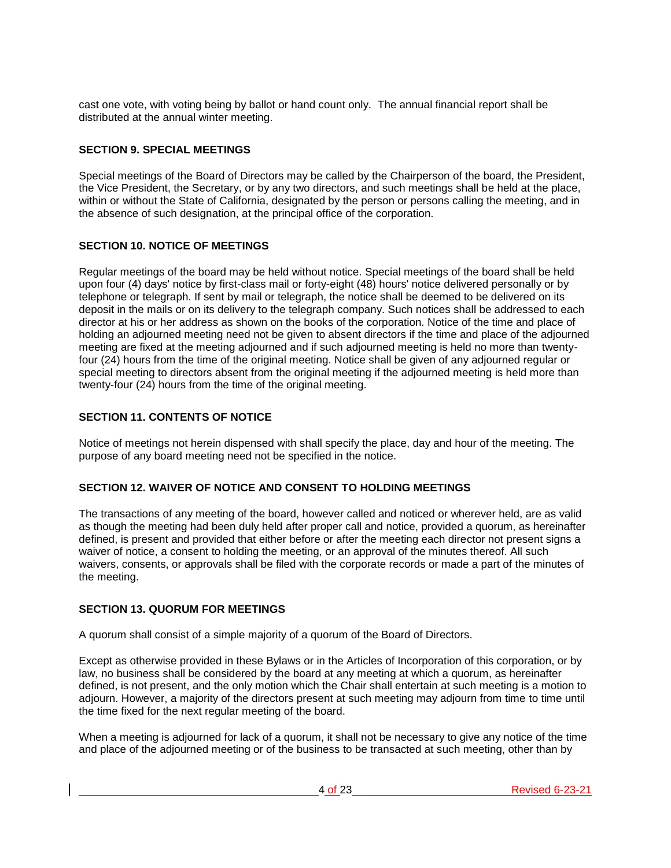cast one vote, with voting being by ballot or hand count only. The annual financial report shall be distributed at the annual winter meeting.

## **SECTION 9. SPECIAL MEETINGS**

Special meetings of the Board of Directors may be called by the Chairperson of the board, the President, the Vice President, the Secretary, or by any two directors, and such meetings shall be held at the place, within or without the State of California, designated by the person or persons calling the meeting, and in the absence of such designation, at the principal office of the corporation.

### **SECTION 10. NOTICE OF MEETINGS**

Regular meetings of the board may be held without notice. Special meetings of the board shall be held upon four (4) days' notice by first-class mail or forty-eight (48) hours' notice delivered personally or by telephone or telegraph. If sent by mail or telegraph, the notice shall be deemed to be delivered on its deposit in the mails or on its delivery to the telegraph company. Such notices shall be addressed to each director at his or her address as shown on the books of the corporation. Notice of the time and place of holding an adjourned meeting need not be given to absent directors if the time and place of the adjourned meeting are fixed at the meeting adjourned and if such adjourned meeting is held no more than twentyfour (24) hours from the time of the original meeting. Notice shall be given of any adjourned regular or special meeting to directors absent from the original meeting if the adjourned meeting is held more than twenty-four (24) hours from the time of the original meeting.

# **SECTION 11. CONTENTS OF NOTICE**

Notice of meetings not herein dispensed with shall specify the place, day and hour of the meeting. The purpose of any board meeting need not be specified in the notice.

# **SECTION 12. WAIVER OF NOTICE AND CONSENT TO HOLDING MEETINGS**

The transactions of any meeting of the board, however called and noticed or wherever held, are as valid as though the meeting had been duly held after proper call and notice, provided a quorum, as hereinafter defined, is present and provided that either before or after the meeting each director not present signs a waiver of notice, a consent to holding the meeting, or an approval of the minutes thereof. All such waivers, consents, or approvals shall be filed with the corporate records or made a part of the minutes of the meeting.

### **SECTION 13. QUORUM FOR MEETINGS**

A quorum shall consist of a simple majority of a quorum of the Board of Directors.

Except as otherwise provided in these Bylaws or in the Articles of Incorporation of this corporation, or by law, no business shall be considered by the board at any meeting at which a quorum, as hereinafter defined, is not present, and the only motion which the Chair shall entertain at such meeting is a motion to adjourn. However, a majority of the directors present at such meeting may adjourn from time to time until the time fixed for the next regular meeting of the board.

When a meeting is adjourned for lack of a quorum, it shall not be necessary to give any notice of the time and place of the adjourned meeting or of the business to be transacted at such meeting, other than by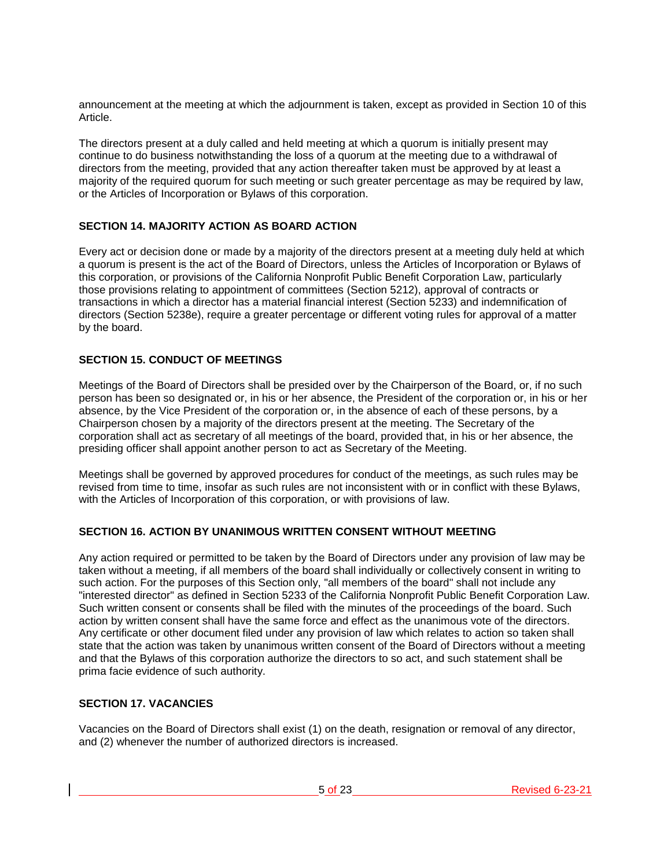announcement at the meeting at which the adjournment is taken, except as provided in Section 10 of this Article.

The directors present at a duly called and held meeting at which a quorum is initially present may continue to do business notwithstanding the loss of a quorum at the meeting due to a withdrawal of directors from the meeting, provided that any action thereafter taken must be approved by at least a majority of the required quorum for such meeting or such greater percentage as may be required by law, or the Articles of Incorporation or Bylaws of this corporation.

# **SECTION 14. MAJORITY ACTION AS BOARD ACTION**

Every act or decision done or made by a majority of the directors present at a meeting duly held at which a quorum is present is the act of the Board of Directors, unless the Articles of Incorporation or Bylaws of this corporation, or provisions of the California Nonprofit Public Benefit Corporation Law, particularly those provisions relating to appointment of committees (Section 5212), approval of contracts or transactions in which a director has a material financial interest (Section 5233) and indemnification of directors (Section 5238e), require a greater percentage or different voting rules for approval of a matter by the board.

### **SECTION 15. CONDUCT OF MEETINGS**

Meetings of the Board of Directors shall be presided over by the Chairperson of the Board, or, if no such person has been so designated or, in his or her absence, the President of the corporation or, in his or her absence, by the Vice President of the corporation or, in the absence of each of these persons, by a Chairperson chosen by a majority of the directors present at the meeting. The Secretary of the corporation shall act as secretary of all meetings of the board, provided that, in his or her absence, the presiding officer shall appoint another person to act as Secretary of the Meeting.

Meetings shall be governed by approved procedures for conduct of the meetings, as such rules may be revised from time to time, insofar as such rules are not inconsistent with or in conflict with these Bylaws, with the Articles of Incorporation of this corporation, or with provisions of law.

### **SECTION 16. ACTION BY UNANIMOUS WRITTEN CONSENT WITHOUT MEETING**

Any action required or permitted to be taken by the Board of Directors under any provision of law may be taken without a meeting, if all members of the board shall individually or collectively consent in writing to such action. For the purposes of this Section only, "all members of the board" shall not include any "interested director" as defined in Section 5233 of the California Nonprofit Public Benefit Corporation Law. Such written consent or consents shall be filed with the minutes of the proceedings of the board. Such action by written consent shall have the same force and effect as the unanimous vote of the directors. Any certificate or other document filed under any provision of law which relates to action so taken shall state that the action was taken by unanimous written consent of the Board of Directors without a meeting and that the Bylaws of this corporation authorize the directors to so act, and such statement shall be prima facie evidence of such authority.

### **SECTION 17. VACANCIES**

Vacancies on the Board of Directors shall exist (1) on the death, resignation or removal of any director, and (2) whenever the number of authorized directors is increased.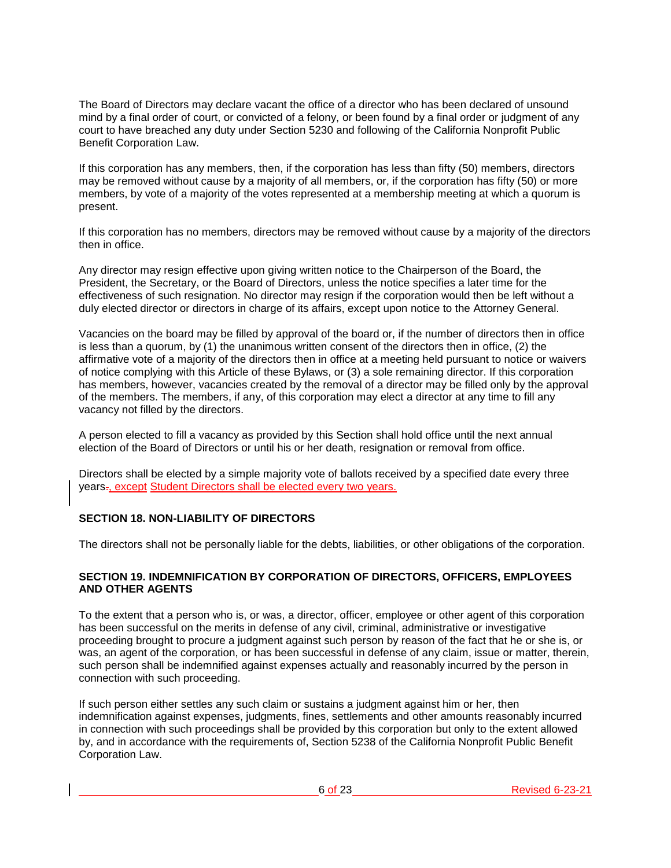The Board of Directors may declare vacant the office of a director who has been declared of unsound mind by a final order of court, or convicted of a felony, or been found by a final order or judgment of any court to have breached any duty under Section 5230 and following of the California Nonprofit Public Benefit Corporation Law.

If this corporation has any members, then, if the corporation has less than fifty (50) members, directors may be removed without cause by a majority of all members, or, if the corporation has fifty (50) or more members, by vote of a majority of the votes represented at a membership meeting at which a quorum is present.

If this corporation has no members, directors may be removed without cause by a majority of the directors then in office.

Any director may resign effective upon giving written notice to the Chairperson of the Board, the President, the Secretary, or the Board of Directors, unless the notice specifies a later time for the effectiveness of such resignation. No director may resign if the corporation would then be left without a duly elected director or directors in charge of its affairs, except upon notice to the Attorney General.

Vacancies on the board may be filled by approval of the board or, if the number of directors then in office is less than a quorum, by (1) the unanimous written consent of the directors then in office, (2) the affirmative vote of a majority of the directors then in office at a meeting held pursuant to notice or waivers of notice complying with this Article of these Bylaws, or (3) a sole remaining director. If this corporation has members, however, vacancies created by the removal of a director may be filled only by the approval of the members. The members, if any, of this corporation may elect a director at any time to fill any vacancy not filled by the directors.

A person elected to fill a vacancy as provided by this Section shall hold office until the next annual election of the Board of Directors or until his or her death, resignation or removal from office.

Directors shall be elected by a simple majority vote of ballots received by a specified date every three years-, except Student Directors shall be elected every two years.

# **SECTION 18. NON-LIABILITY OF DIRECTORS**

The directors shall not be personally liable for the debts, liabilities, or other obligations of the corporation.

### **SECTION 19. INDEMNIFICATION BY CORPORATION OF DIRECTORS, OFFICERS, EMPLOYEES AND OTHER AGENTS**

To the extent that a person who is, or was, a director, officer, employee or other agent of this corporation has been successful on the merits in defense of any civil, criminal, administrative or investigative proceeding brought to procure a judgment against such person by reason of the fact that he or she is, or was, an agent of the corporation, or has been successful in defense of any claim, issue or matter, therein, such person shall be indemnified against expenses actually and reasonably incurred by the person in connection with such proceeding.

If such person either settles any such claim or sustains a judgment against him or her, then indemnification against expenses, judgments, fines, settlements and other amounts reasonably incurred in connection with such proceedings shall be provided by this corporation but only to the extent allowed by, and in accordance with the requirements of, Section 5238 of the California Nonprofit Public Benefit Corporation Law.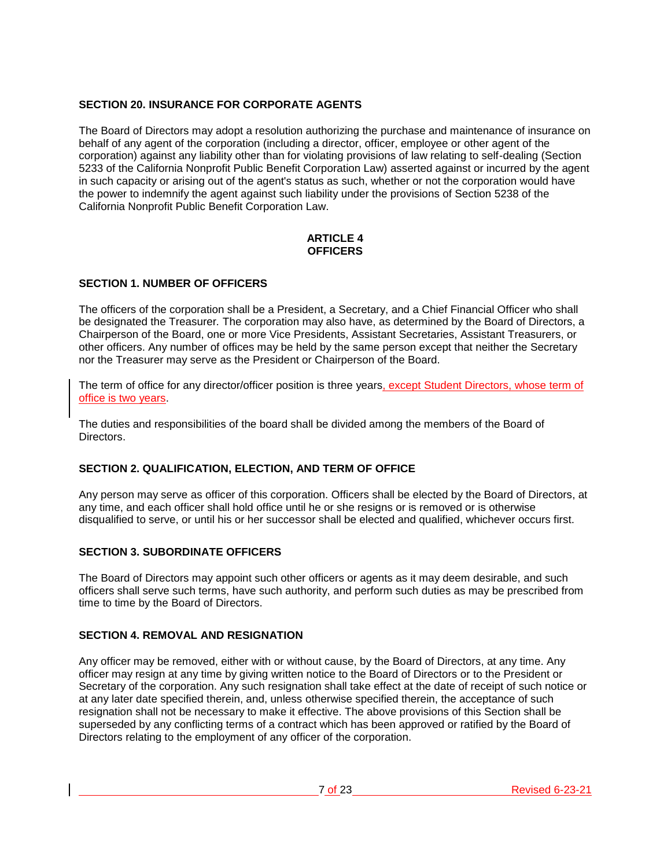# **SECTION 20. INSURANCE FOR CORPORATE AGENTS**

The Board of Directors may adopt a resolution authorizing the purchase and maintenance of insurance on behalf of any agent of the corporation (including a director, officer, employee or other agent of the corporation) against any liability other than for violating provisions of law relating to self-dealing (Section 5233 of the California Nonprofit Public Benefit Corporation Law) asserted against or incurred by the agent in such capacity or arising out of the agent's status as such, whether or not the corporation would have the power to indemnify the agent against such liability under the provisions of Section 5238 of the California Nonprofit Public Benefit Corporation Law.

## **ARTICLE 4 OFFICERS**

# **SECTION 1. NUMBER OF OFFICERS**

The officers of the corporation shall be a President, a Secretary, and a Chief Financial Officer who shall be designated the Treasurer*.* The corporation may also have, as determined by the Board of Directors, a Chairperson of the Board, one or more Vice Presidents, Assistant Secretaries, Assistant Treasurers, or other officers. Any number of offices may be held by the same person except that neither the Secretary nor the Treasurer may serve as the President or Chairperson of the Board.

The term of office for any director/officer position is three years, except Student Directors, whose term of office is two years.

The duties and responsibilities of the board shall be divided among the members of the Board of Directors.

# **SECTION 2. QUALIFICATION, ELECTION, AND TERM OF OFFICE**

Any person may serve as officer of this corporation. Officers shall be elected by the Board of Directors, at any time, and each officer shall hold office until he or she resigns or is removed or is otherwise disqualified to serve, or until his or her successor shall be elected and qualified, whichever occurs first.

# **SECTION 3. SUBORDINATE OFFICERS**

The Board of Directors may appoint such other officers or agents as it may deem desirable, and such officers shall serve such terms, have such authority, and perform such duties as may be prescribed from time to time by the Board of Directors.

### **SECTION 4. REMOVAL AND RESIGNATION**

Any officer may be removed, either with or without cause, by the Board of Directors, at any time. Any officer may resign at any time by giving written notice to the Board of Directors or to the President or Secretary of the corporation. Any such resignation shall take effect at the date of receipt of such notice or at any later date specified therein, and, unless otherwise specified therein, the acceptance of such resignation shall not be necessary to make it effective. The above provisions of this Section shall be superseded by any conflicting terms of a contract which has been approved or ratified by the Board of Directors relating to the employment of any officer of the corporation.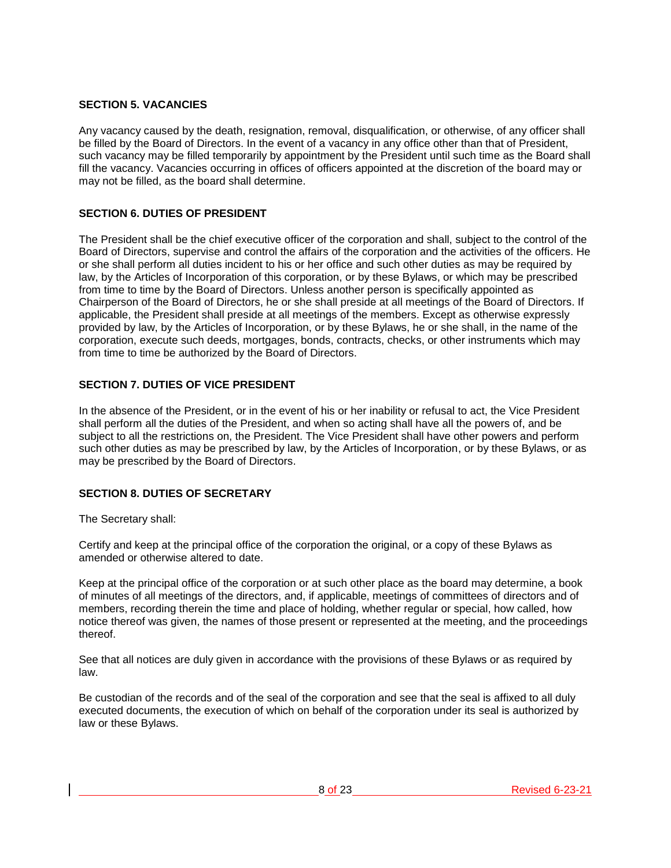## **SECTION 5. VACANCIES**

Any vacancy caused by the death, resignation, removal, disqualification, or otherwise, of any officer shall be filled by the Board of Directors. In the event of a vacancy in any office other than that of President, such vacancy may be filled temporarily by appointment by the President until such time as the Board shall fill the vacancy. Vacancies occurring in offices of officers appointed at the discretion of the board may or may not be filled, as the board shall determine.

# **SECTION 6. DUTIES OF PRESIDENT**

The President shall be the chief executive officer of the corporation and shall, subject to the control of the Board of Directors, supervise and control the affairs of the corporation and the activities of the officers. He or she shall perform all duties incident to his or her office and such other duties as may be required by law, by the Articles of Incorporation of this corporation, or by these Bylaws, or which may be prescribed from time to time by the Board of Directors. Unless another person is specifically appointed as Chairperson of the Board of Directors, he or she shall preside at all meetings of the Board of Directors. If applicable, the President shall preside at all meetings of the members. Except as otherwise expressly provided by law, by the Articles of Incorporation, or by these Bylaws, he or she shall, in the name of the corporation, execute such deeds, mortgages, bonds, contracts, checks, or other instruments which may from time to time be authorized by the Board of Directors.

# **SECTION 7. DUTIES OF VICE PRESIDENT**

In the absence of the President, or in the event of his or her inability or refusal to act, the Vice President shall perform all the duties of the President, and when so acting shall have all the powers of, and be subject to all the restrictions on, the President. The Vice President shall have other powers and perform such other duties as may be prescribed by law, by the Articles of Incorporation, or by these Bylaws, or as may be prescribed by the Board of Directors.

# **SECTION 8. DUTIES OF SECRETARY**

The Secretary shall:

Certify and keep at the principal office of the corporation the original, or a copy of these Bylaws as amended or otherwise altered to date.

Keep at the principal office of the corporation or at such other place as the board may determine, a book of minutes of all meetings of the directors, and, if applicable, meetings of committees of directors and of members, recording therein the time and place of holding, whether regular or special, how called, how notice thereof was given, the names of those present or represented at the meeting, and the proceedings thereof.

See that all notices are duly given in accordance with the provisions of these Bylaws or as required by law.

Be custodian of the records and of the seal of the corporation and see that the seal is affixed to all duly executed documents, the execution of which on behalf of the corporation under its seal is authorized by law or these Bylaws.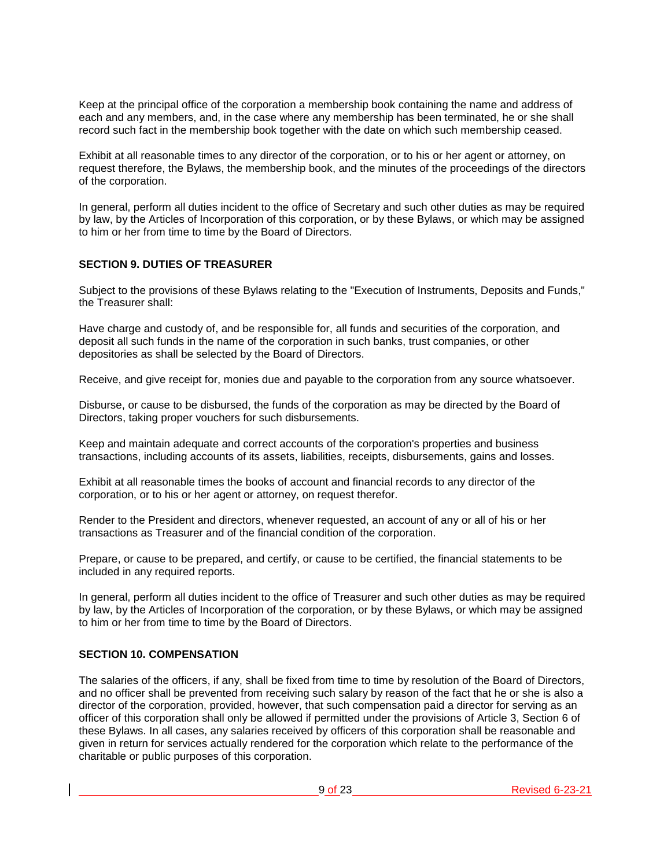Keep at the principal office of the corporation a membership book containing the name and address of each and any members, and, in the case where any membership has been terminated, he or she shall record such fact in the membership book together with the date on which such membership ceased.

Exhibit at all reasonable times to any director of the corporation, or to his or her agent or attorney, on request therefore, the Bylaws, the membership book, and the minutes of the proceedings of the directors of the corporation.

In general, perform all duties incident to the office of Secretary and such other duties as may be required by law, by the Articles of Incorporation of this corporation, or by these Bylaws, or which may be assigned to him or her from time to time by the Board of Directors.

# **SECTION 9. DUTIES OF TREASURER**

Subject to the provisions of these Bylaws relating to the "Execution of Instruments, Deposits and Funds," the Treasurer shall:

Have charge and custody of, and be responsible for, all funds and securities of the corporation, and deposit all such funds in the name of the corporation in such banks, trust companies, or other depositories as shall be selected by the Board of Directors.

Receive, and give receipt for, monies due and payable to the corporation from any source whatsoever.

Disburse, or cause to be disbursed, the funds of the corporation as may be directed by the Board of Directors, taking proper vouchers for such disbursements.

Keep and maintain adequate and correct accounts of the corporation's properties and business transactions, including accounts of its assets, liabilities, receipts, disbursements, gains and losses.

Exhibit at all reasonable times the books of account and financial records to any director of the corporation, or to his or her agent or attorney, on request therefor.

Render to the President and directors, whenever requested, an account of any or all of his or her transactions as Treasurer and of the financial condition of the corporation.

Prepare, or cause to be prepared, and certify, or cause to be certified, the financial statements to be included in any required reports.

In general, perform all duties incident to the office of Treasurer and such other duties as may be required by law, by the Articles of Incorporation of the corporation, or by these Bylaws, or which may be assigned to him or her from time to time by the Board of Directors.

### **SECTION 10. COMPENSATION**

The salaries of the officers, if any, shall be fixed from time to time by resolution of the Board of Directors, and no officer shall be prevented from receiving such salary by reason of the fact that he or she is also a director of the corporation, provided, however, that such compensation paid a director for serving as an officer of this corporation shall only be allowed if permitted under the provisions of Article 3, Section 6 of these Bylaws. In all cases, any salaries received by officers of this corporation shall be reasonable and given in return for services actually rendered for the corporation which relate to the performance of the charitable or public purposes of this corporation.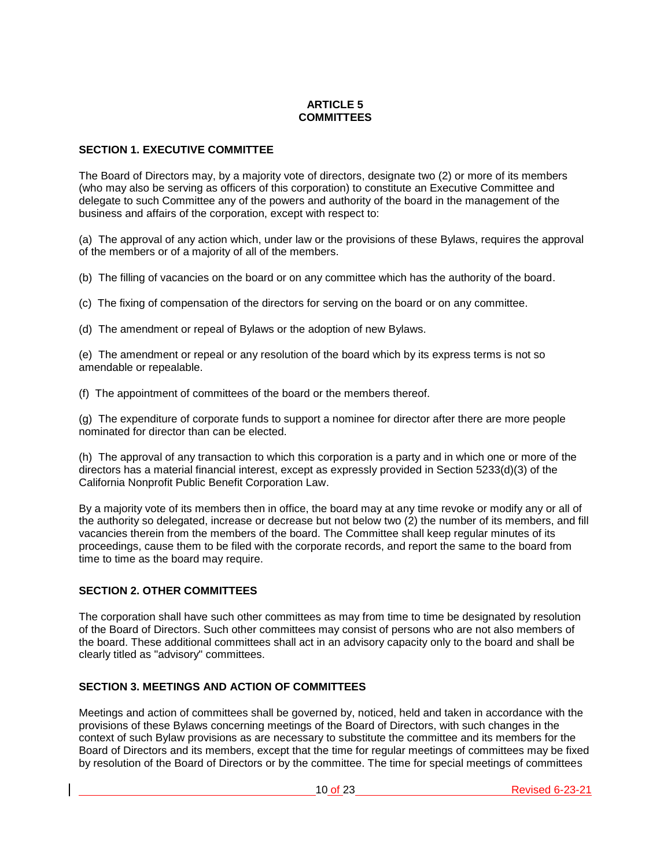# **ARTICLE 5 COMMITTEES**

## **SECTION 1. EXECUTIVE COMMITTEE**

The Board of Directors may, by a majority vote of directors, designate two (2) or more of its members (who may also be serving as officers of this corporation) to constitute an Executive Committee and delegate to such Committee any of the powers and authority of the board in the management of the business and affairs of the corporation, except with respect to:

(a) The approval of any action which, under law or the provisions of these Bylaws, requires the approval of the members or of a majority of all of the members.

(b) The filling of vacancies on the board or on any committee which has the authority of the board.

(c) The fixing of compensation of the directors for serving on the board or on any committee.

(d) The amendment or repeal of Bylaws or the adoption of new Bylaws.

(e) The amendment or repeal or any resolution of the board which by its express terms is not so amendable or repealable.

(f) The appointment of committees of the board or the members thereof.

(g) The expenditure of corporate funds to support a nominee for director after there are more people nominated for director than can be elected.

(h) The approval of any transaction to which this corporation is a party and in which one or more of the directors has a material financial interest, except as expressly provided in Section 5233(d)(3) of the California Nonprofit Public Benefit Corporation Law.

By a majority vote of its members then in office, the board may at any time revoke or modify any or all of the authority so delegated, increase or decrease but not below two (2) the number of its members, and fill vacancies therein from the members of the board. The Committee shall keep regular minutes of its proceedings, cause them to be filed with the corporate records, and report the same to the board from time to time as the board may require.

# **SECTION 2. OTHER COMMITTEES**

The corporation shall have such other committees as may from time to time be designated by resolution of the Board of Directors. Such other committees may consist of persons who are not also members of the board. These additional committees shall act in an advisory capacity only to the board and shall be clearly titled as "advisory" committees.

# **SECTION 3. MEETINGS AND ACTION OF COMMITTEES**

Meetings and action of committees shall be governed by, noticed, held and taken in accordance with the provisions of these Bylaws concerning meetings of the Board of Directors, with such changes in the context of such Bylaw provisions as are necessary to substitute the committee and its members for the Board of Directors and its members, except that the time for regular meetings of committees may be fixed by resolution of the Board of Directors or by the committee. The time for special meetings of committees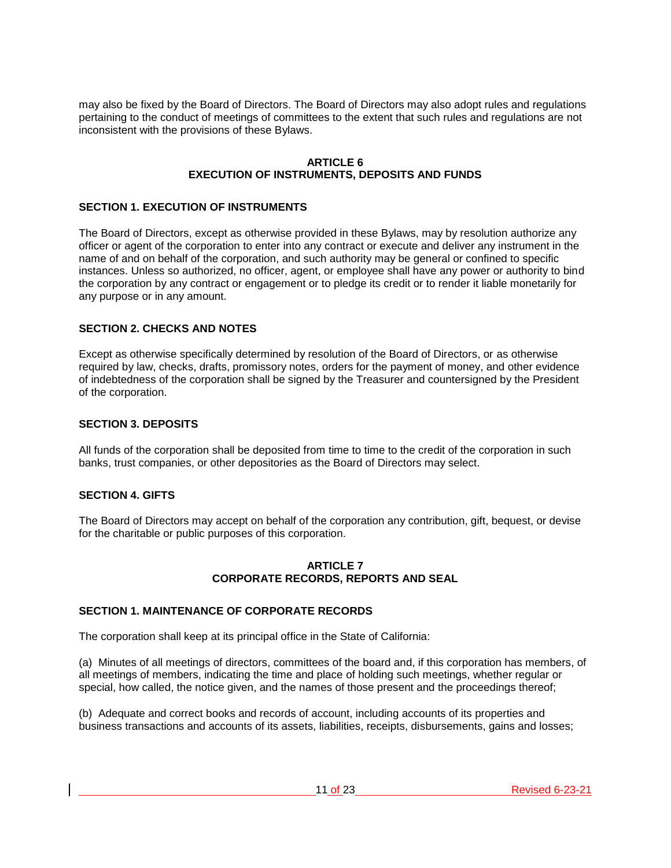may also be fixed by the Board of Directors. The Board of Directors may also adopt rules and regulations pertaining to the conduct of meetings of committees to the extent that such rules and regulations are not inconsistent with the provisions of these Bylaws.

#### **ARTICLE 6 EXECUTION OF INSTRUMENTS, DEPOSITS AND FUNDS**

## **SECTION 1. EXECUTION OF INSTRUMENTS**

The Board of Directors, except as otherwise provided in these Bylaws, may by resolution authorize any officer or agent of the corporation to enter into any contract or execute and deliver any instrument in the name of and on behalf of the corporation, and such authority may be general or confined to specific instances. Unless so authorized, no officer, agent, or employee shall have any power or authority to bind the corporation by any contract or engagement or to pledge its credit or to render it liable monetarily for any purpose or in any amount.

# **SECTION 2. CHECKS AND NOTES**

Except as otherwise specifically determined by resolution of the Board of Directors, or as otherwise required by law, checks, drafts, promissory notes, orders for the payment of money, and other evidence of indebtedness of the corporation shall be signed by the Treasurer and countersigned by the President of the corporation.

### **SECTION 3. DEPOSITS**

All funds of the corporation shall be deposited from time to time to the credit of the corporation in such banks, trust companies, or other depositories as the Board of Directors may select.

### **SECTION 4. GIFTS**

The Board of Directors may accept on behalf of the corporation any contribution, gift, bequest, or devise for the charitable or public purposes of this corporation.

#### **ARTICLE 7 CORPORATE RECORDS, REPORTS AND SEAL**

### **SECTION 1. MAINTENANCE OF CORPORATE RECORDS**

The corporation shall keep at its principal office in the State of California:

(a) Minutes of all meetings of directors, committees of the board and, if this corporation has members, of all meetings of members, indicating the time and place of holding such meetings, whether regular or special, how called, the notice given, and the names of those present and the proceedings thereof;

(b) Adequate and correct books and records of account, including accounts of its properties and business transactions and accounts of its assets, liabilities, receipts, disbursements, gains and losses;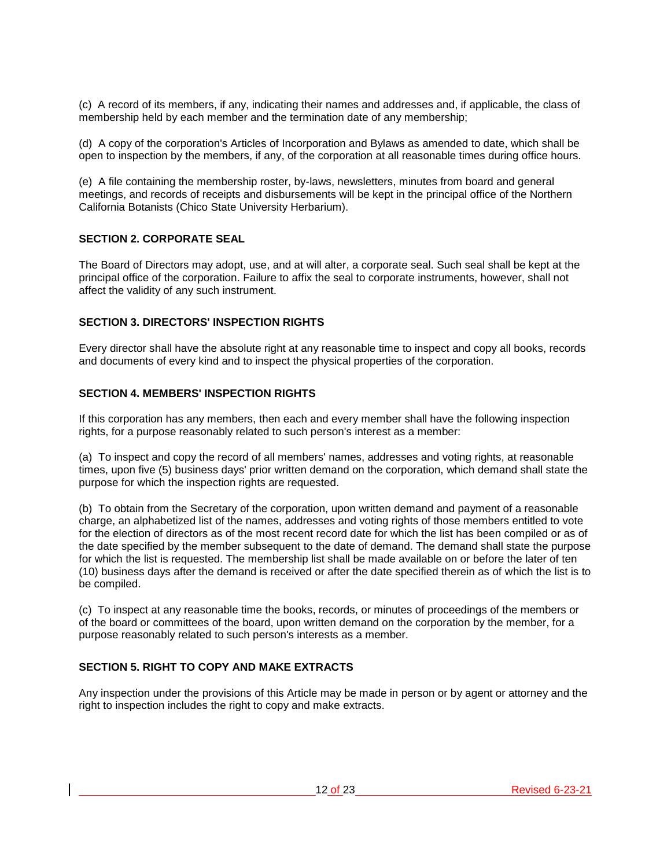(c) A record of its members, if any, indicating their names and addresses and, if applicable, the class of membership held by each member and the termination date of any membership;

(d) A copy of the corporation's Articles of Incorporation and Bylaws as amended to date, which shall be open to inspection by the members, if any, of the corporation at all reasonable times during office hours.

(e) A file containing the membership roster, by-laws, newsletters, minutes from board and general meetings, and records of receipts and disbursements will be kept in the principal office of the Northern California Botanists (Chico State University Herbarium).

#### **SECTION 2. CORPORATE SEAL**

The Board of Directors may adopt, use, and at will alter, a corporate seal. Such seal shall be kept at the principal office of the corporation. Failure to affix the seal to corporate instruments, however, shall not affect the validity of any such instrument.

### **SECTION 3. DIRECTORS' INSPECTION RIGHTS**

Every director shall have the absolute right at any reasonable time to inspect and copy all books, records and documents of every kind and to inspect the physical properties of the corporation.

#### **SECTION 4. MEMBERS' INSPECTION RIGHTS**

If this corporation has any members, then each and every member shall have the following inspection rights, for a purpose reasonably related to such person's interest as a member:

(a) To inspect and copy the record of all members' names, addresses and voting rights, at reasonable times, upon five (5) business days' prior written demand on the corporation, which demand shall state the purpose for which the inspection rights are requested.

(b) To obtain from the Secretary of the corporation, upon written demand and payment of a reasonable charge, an alphabetized list of the names, addresses and voting rights of those members entitled to vote for the election of directors as of the most recent record date for which the list has been compiled or as of the date specified by the member subsequent to the date of demand. The demand shall state the purpose for which the list is requested. The membership list shall be made available on or before the later of ten (10) business days after the demand is received or after the date specified therein as of which the list is to be compiled.

(c) To inspect at any reasonable time the books, records, or minutes of proceedings of the members or of the board or committees of the board, upon written demand on the corporation by the member, for a purpose reasonably related to such person's interests as a member.

### **SECTION 5. RIGHT TO COPY AND MAKE EXTRACTS**

Any inspection under the provisions of this Article may be made in person or by agent or attorney and the right to inspection includes the right to copy and make extracts.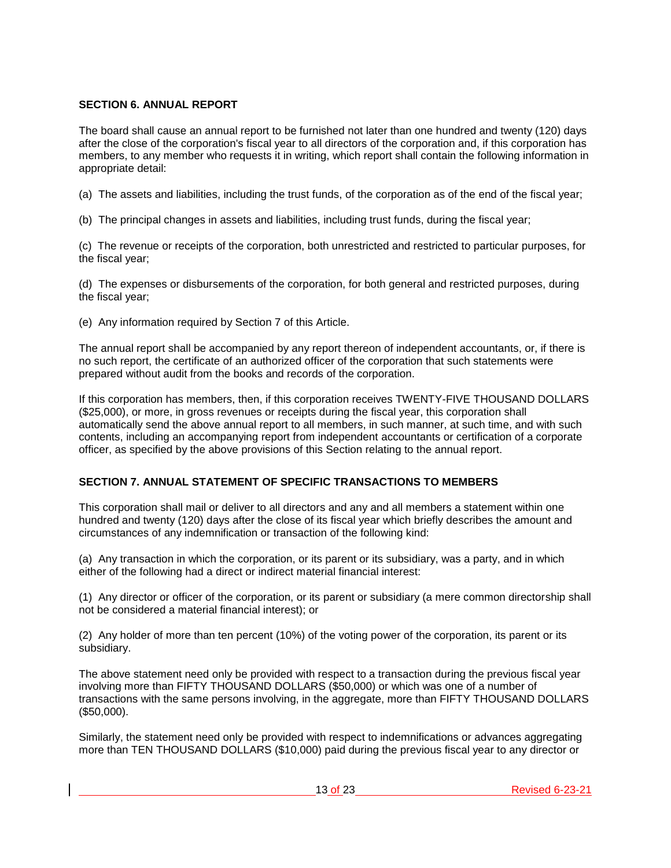# **SECTION 6. ANNUAL REPORT**

The board shall cause an annual report to be furnished not later than one hundred and twenty (120) days after the close of the corporation's fiscal year to all directors of the corporation and, if this corporation has members, to any member who requests it in writing, which report shall contain the following information in appropriate detail:

(a) The assets and liabilities, including the trust funds, of the corporation as of the end of the fiscal year;

(b) The principal changes in assets and liabilities, including trust funds, during the fiscal year;

(c) The revenue or receipts of the corporation, both unrestricted and restricted to particular purposes, for the fiscal year;

(d) The expenses or disbursements of the corporation, for both general and restricted purposes, during the fiscal year;

(e) Any information required by Section 7 of this Article.

The annual report shall be accompanied by any report thereon of independent accountants, or, if there is no such report, the certificate of an authorized officer of the corporation that such statements were prepared without audit from the books and records of the corporation.

If this corporation has members, then, if this corporation receives TWENTY-FIVE THOUSAND DOLLARS (\$25,000), or more, in gross revenues or receipts during the fiscal year, this corporation shall automatically send the above annual report to all members, in such manner, at such time, and with such contents, including an accompanying report from independent accountants or certification of a corporate officer, as specified by the above provisions of this Section relating to the annual report.

# **SECTION 7. ANNUAL STATEMENT OF SPECIFIC TRANSACTIONS TO MEMBERS**

This corporation shall mail or deliver to all directors and any and all members a statement within one hundred and twenty (120) days after the close of its fiscal year which briefly describes the amount and circumstances of any indemnification or transaction of the following kind:

(a) Any transaction in which the corporation, or its parent or its subsidiary, was a party, and in which either of the following had a direct or indirect material financial interest:

(1) Any director or officer of the corporation, or its parent or subsidiary (a mere common directorship shall not be considered a material financial interest); or

(2) Any holder of more than ten percent (10%) of the voting power of the corporation, its parent or its subsidiary.

The above statement need only be provided with respect to a transaction during the previous fiscal year involving more than FIFTY THOUSAND DOLLARS (\$50,000) or which was one of a number of transactions with the same persons involving, in the aggregate, more than FIFTY THOUSAND DOLLARS (\$50,000).

Similarly, the statement need only be provided with respect to indemnifications or advances aggregating more than TEN THOUSAND DOLLARS (\$10,000) paid during the previous fiscal year to any director or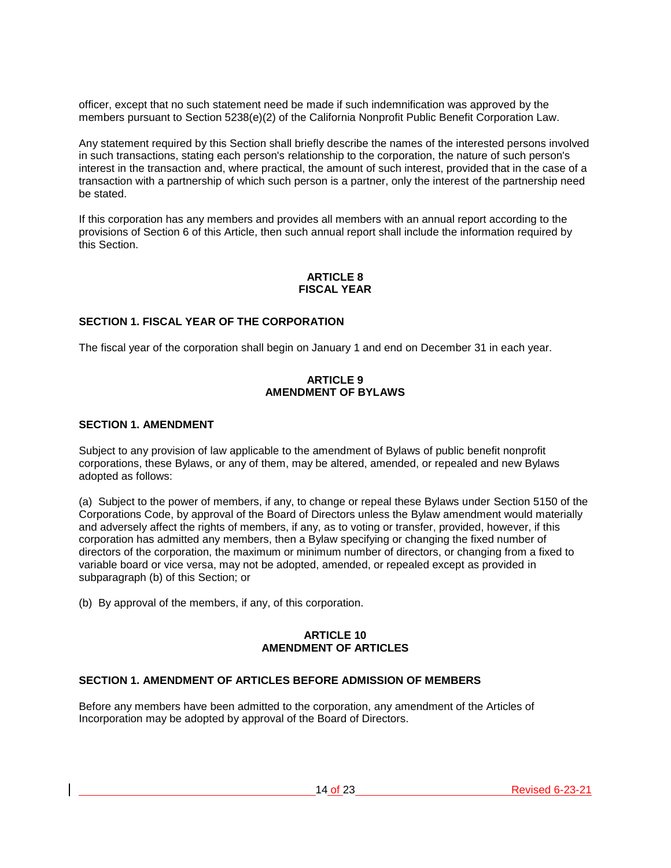officer, except that no such statement need be made if such indemnification was approved by the members pursuant to Section 5238(e)(2) of the California Nonprofit Public Benefit Corporation Law.

Any statement required by this Section shall briefly describe the names of the interested persons involved in such transactions, stating each person's relationship to the corporation, the nature of such person's interest in the transaction and, where practical, the amount of such interest, provided that in the case of a transaction with a partnership of which such person is a partner, only the interest of the partnership need be stated.

If this corporation has any members and provides all members with an annual report according to the provisions of Section 6 of this Article, then such annual report shall include the information required by this Section.

## **ARTICLE 8 FISCAL YEAR**

#### **SECTION 1. FISCAL YEAR OF THE CORPORATION**

The fiscal year of the corporation shall begin on January 1 and end on December 31 in each year.

#### **ARTICLE 9 AMENDMENT OF BYLAWS**

#### **SECTION 1. AMENDMENT**

Subject to any provision of law applicable to the amendment of Bylaws of public benefit nonprofit corporations, these Bylaws, or any of them, may be altered, amended, or repealed and new Bylaws adopted as follows:

(a) Subject to the power of members, if any, to change or repeal these Bylaws under Section 5150 of the Corporations Code, by approval of the Board of Directors unless the Bylaw amendment would materially and adversely affect the rights of members, if any, as to voting or transfer, provided, however, if this corporation has admitted any members, then a Bylaw specifying or changing the fixed number of directors of the corporation, the maximum or minimum number of directors, or changing from a fixed to variable board or vice versa, may not be adopted, amended, or repealed except as provided in subparagraph (b) of this Section; or

(b) By approval of the members, if any, of this corporation.

#### **ARTICLE 10 AMENDMENT OF ARTICLES**

#### **SECTION 1. AMENDMENT OF ARTICLES BEFORE ADMISSION OF MEMBERS**

Before any members have been admitted to the corporation, any amendment of the Articles of Incorporation may be adopted by approval of the Board of Directors.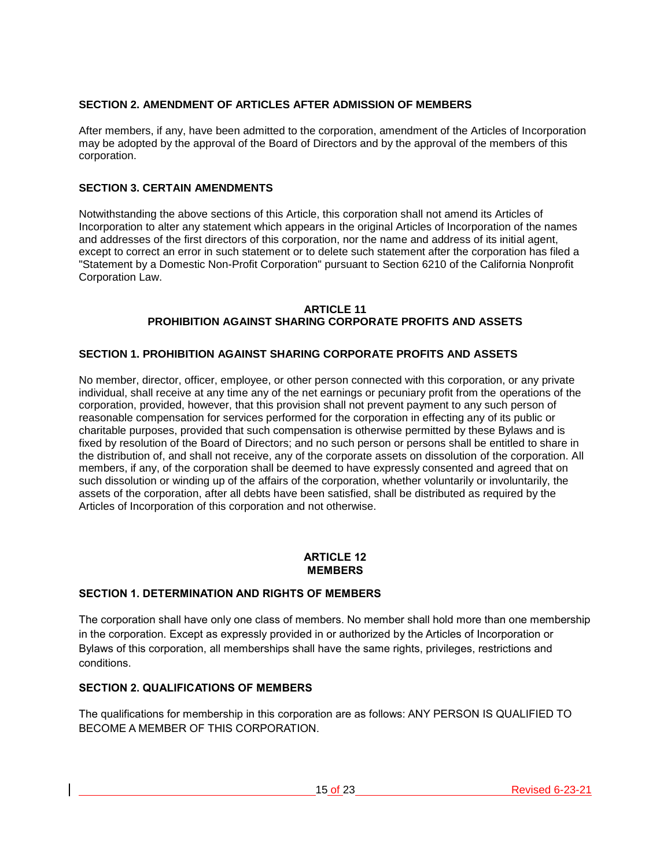# **SECTION 2. AMENDMENT OF ARTICLES AFTER ADMISSION OF MEMBERS**

After members, if any, have been admitted to the corporation, amendment of the Articles of Incorporation may be adopted by the approval of the Board of Directors and by the approval of the members of this corporation.

## **SECTION 3. CERTAIN AMENDMENTS**

Notwithstanding the above sections of this Article, this corporation shall not amend its Articles of Incorporation to alter any statement which appears in the original Articles of Incorporation of the names and addresses of the first directors of this corporation, nor the name and address of its initial agent, except to correct an error in such statement or to delete such statement after the corporation has filed a "Statement by a Domestic Non-Profit Corporation" pursuant to Section 6210 of the California Nonprofit Corporation Law.

#### **ARTICLE 11 PROHIBITION AGAINST SHARING CORPORATE PROFITS AND ASSETS**

### **SECTION 1. PROHIBITION AGAINST SHARING CORPORATE PROFITS AND ASSETS**

No member, director, officer, employee, or other person connected with this corporation, or any private individual, shall receive at any time any of the net earnings or pecuniary profit from the operations of the corporation, provided, however, that this provision shall not prevent payment to any such person of reasonable compensation for services performed for the corporation in effecting any of its public or charitable purposes, provided that such compensation is otherwise permitted by these Bylaws and is fixed by resolution of the Board of Directors; and no such person or persons shall be entitled to share in the distribution of, and shall not receive, any of the corporate assets on dissolution of the corporation. All members, if any, of the corporation shall be deemed to have expressly consented and agreed that on such dissolution or winding up of the affairs of the corporation, whether voluntarily or involuntarily, the assets of the corporation, after all debts have been satisfied, shall be distributed as required by the Articles of Incorporation of this corporation and not otherwise.

#### **ARTICLE 12 MEMBERS**

### **SECTION 1. DETERMINATION AND RIGHTS OF MEMBERS**

The corporation shall have only one class of members. No member shall hold more than one membership in the corporation. Except as expressly provided in or authorized by the Articles of Incorporation or Bylaws of this corporation, all memberships shall have the same rights, privileges, restrictions and conditions.

## **SECTION 2. QUALIFICATIONS OF MEMBERS**

The qualifications for membership in this corporation are as follows: ANY PERSON IS QUALIFIED TO BECOME A MEMBER OF THIS CORPORATION.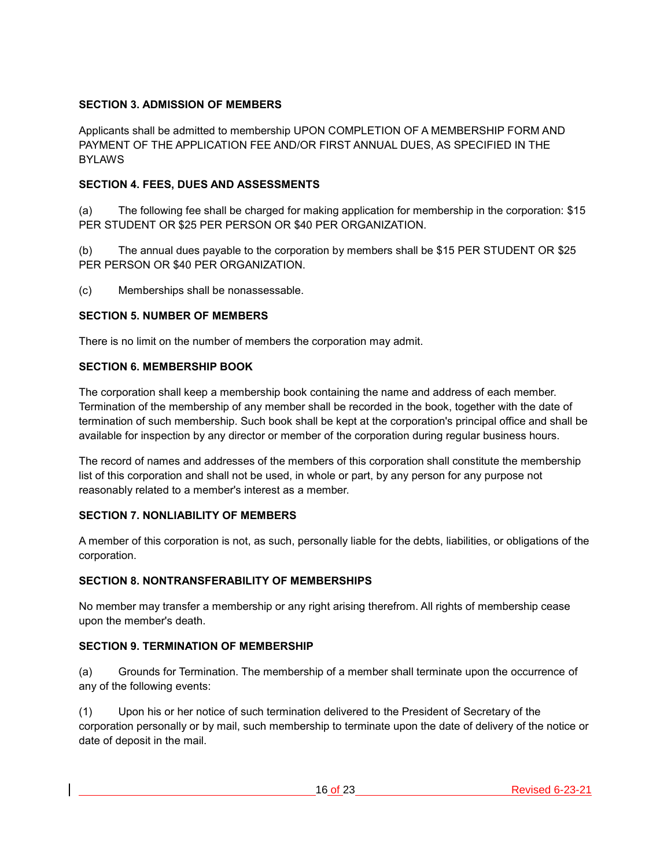# **SECTION 3. ADMISSION OF MEMBERS**

Applicants shall be admitted to membership UPON COMPLETION OF A MEMBERSHIP FORM AND PAYMENT OF THE APPLICATION FEE AND/OR FIRST ANNUAL DUES, AS SPECIFIED IN THE BYLAWS

# **SECTION 4. FEES, DUES AND ASSESSMENTS**

(a) The following fee shall be charged for making application for membership in the corporation: \$15 PER STUDENT OR \$25 PER PERSON OR \$40 PER ORGANIZATION.

(b) The annual dues payable to the corporation by members shall be \$15 PER STUDENT OR \$25 PER PERSON OR \$40 PER ORGANIZATION.

(c) Memberships shall be nonassessable.

# **SECTION 5. NUMBER OF MEMBERS**

There is no limit on the number of members the corporation may admit.

### **SECTION 6. MEMBERSHIP BOOK**

The corporation shall keep a membership book containing the name and address of each member. Termination of the membership of any member shall be recorded in the book, together with the date of termination of such membership. Such book shall be kept at the corporation's principal office and shall be available for inspection by any director or member of the corporation during regular business hours.

The record of names and addresses of the members of this corporation shall constitute the membership list of this corporation and shall not be used, in whole or part, by any person for any purpose not reasonably related to a member's interest as a member.

# **SECTION 7. NONLIABILITY OF MEMBERS**

A member of this corporation is not, as such, personally liable for the debts, liabilities, or obligations of the corporation.

### **SECTION 8. NONTRANSFERABILITY OF MEMBERSHIPS**

No member may transfer a membership or any right arising therefrom. All rights of membership cease upon the member's death.

### **SECTION 9. TERMINATION OF MEMBERSHIP**

(a) Grounds for Termination. The membership of a member shall terminate upon the occurrence of any of the following events:

(1) Upon his or her notice of such termination delivered to the President of Secretary of the corporation personally or by mail, such membership to terminate upon the date of delivery of the notice or date of deposit in the mail.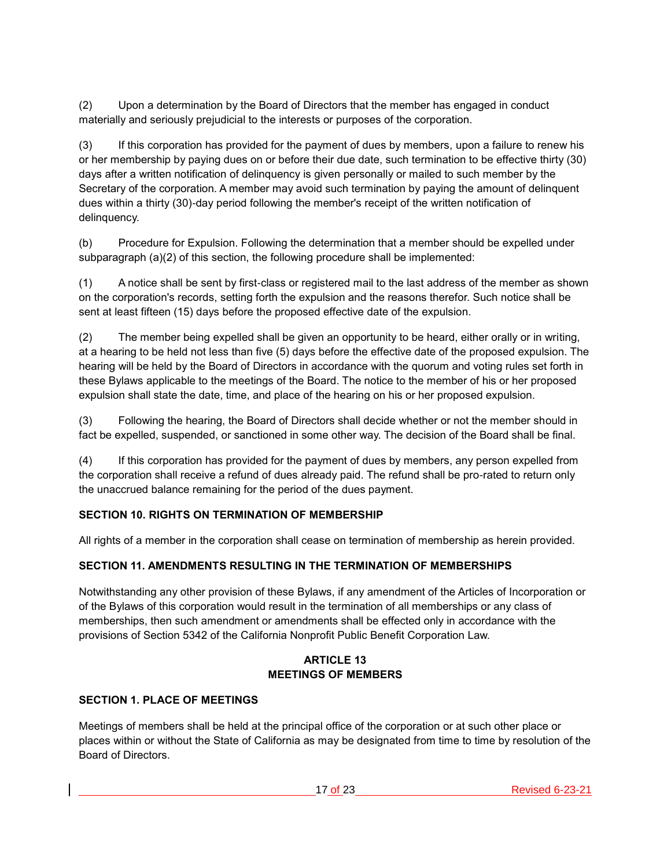(2) Upon a determination by the Board of Directors that the member has engaged in conduct materially and seriously prejudicial to the interests or purposes of the corporation.

(3) If this corporation has provided for the payment of dues by members, upon a failure to renew his or her membership by paying dues on or before their due date, such termination to be effective thirty (30) days after a written notification of delinquency is given personally or mailed to such member by the Secretary of the corporation. A member may avoid such termination by paying the amount of delinquent dues within a thirty (30)-day period following the member's receipt of the written notification of delinquency.

(b) Procedure for Expulsion. Following the determination that a member should be expelled under subparagraph (a)(2) of this section, the following procedure shall be implemented:

(1) A notice shall be sent by first-class or registered mail to the last address of the member as shown on the corporation's records, setting forth the expulsion and the reasons therefor. Such notice shall be sent at least fifteen (15) days before the proposed effective date of the expulsion.

(2) The member being expelled shall be given an opportunity to be heard, either orally or in writing, at a hearing to be held not less than five (5) days before the effective date of the proposed expulsion. The hearing will be held by the Board of Directors in accordance with the quorum and voting rules set forth in these Bylaws applicable to the meetings of the Board. The notice to the member of his or her proposed expulsion shall state the date, time, and place of the hearing on his or her proposed expulsion.

(3) Following the hearing, the Board of Directors shall decide whether or not the member should in fact be expelled, suspended, or sanctioned in some other way. The decision of the Board shall be final.

(4) If this corporation has provided for the payment of dues by members, any person expelled from the corporation shall receive a refund of dues already paid. The refund shall be pro-rated to return only the unaccrued balance remaining for the period of the dues payment.

# **SECTION 10. RIGHTS ON TERMINATION OF MEMBERSHIP**

All rights of a member in the corporation shall cease on termination of membership as herein provided.

# **SECTION 11. AMENDMENTS RESULTING IN THE TERMINATION OF MEMBERSHIPS**

Notwithstanding any other provision of these Bylaws, if any amendment of the Articles of Incorporation or of the Bylaws of this corporation would result in the termination of all memberships or any class of memberships, then such amendment or amendments shall be effected only in accordance with the provisions of Section 5342 of the California Nonprofit Public Benefit Corporation Law.

# **ARTICLE 13 MEETINGS OF MEMBERS**

# **SECTION 1. PLACE OF MEETINGS**

Meetings of members shall be held at the principal office of the corporation or at such other place or places within or without the State of California as may be designated from time to time by resolution of the Board of Directors.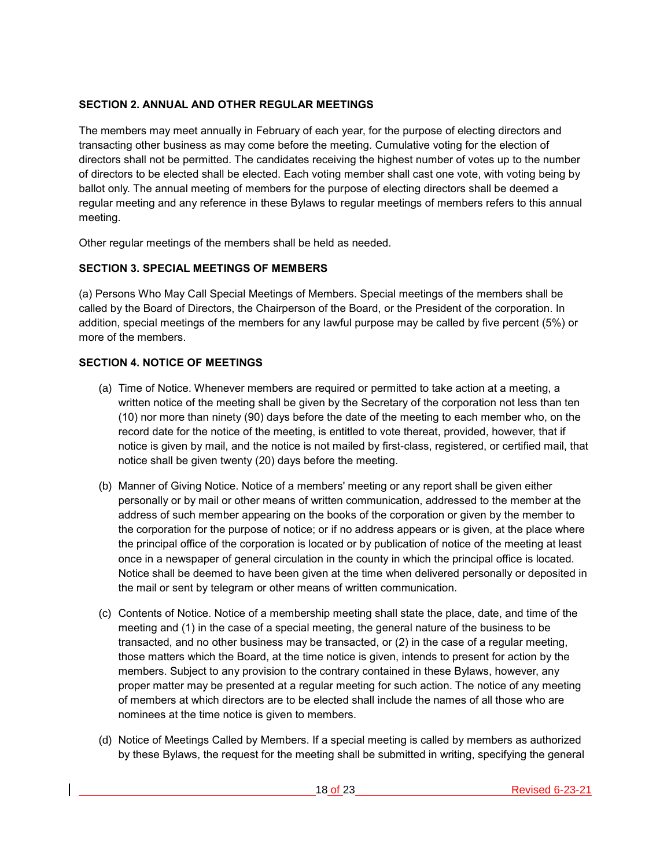# **SECTION 2. ANNUAL AND OTHER REGULAR MEETINGS**

The members may meet annually in February of each year, for the purpose of electing directors and transacting other business as may come before the meeting. Cumulative voting for the election of directors shall not be permitted. The candidates receiving the highest number of votes up to the number of directors to be elected shall be elected. Each voting member shall cast one vote, with voting being by ballot only. The annual meeting of members for the purpose of electing directors shall be deemed a regular meeting and any reference in these Bylaws to regular meetings of members refers to this annual meeting.

Other regular meetings of the members shall be held as needed.

# **SECTION 3. SPECIAL MEETINGS OF MEMBERS**

(a) Persons Who May Call Special Meetings of Members. Special meetings of the members shall be called by the Board of Directors, the Chairperson of the Board, or the President of the corporation. In addition, special meetings of the members for any lawful purpose may be called by five percent (5%) or more of the members.

# **SECTION 4. NOTICE OF MEETINGS**

- (a) Time of Notice. Whenever members are required or permitted to take action at a meeting, a written notice of the meeting shall be given by the Secretary of the corporation not less than ten (10) nor more than ninety (90) days before the date of the meeting to each member who, on the record date for the notice of the meeting, is entitled to vote thereat, provided, however, that if notice is given by mail, and the notice is not mailed by first-class, registered, or certified mail, that notice shall be given twenty (20) days before the meeting.
- (b) Manner of Giving Notice. Notice of a members' meeting or any report shall be given either personally or by mail or other means of written communication, addressed to the member at the address of such member appearing on the books of the corporation or given by the member to the corporation for the purpose of notice; or if no address appears or is given, at the place where the principal office of the corporation is located or by publication of notice of the meeting at least once in a newspaper of general circulation in the county in which the principal office is located. Notice shall be deemed to have been given at the time when delivered personally or deposited in the mail or sent by telegram or other means of written communication.
- (c) Contents of Notice. Notice of a membership meeting shall state the place, date, and time of the meeting and (1) in the case of a special meeting, the general nature of the business to be transacted, and no other business may be transacted, or (2) in the case of a regular meeting, those matters which the Board, at the time notice is given, intends to present for action by the members. Subject to any provision to the contrary contained in these Bylaws, however, any proper matter may be presented at a regular meeting for such action. The notice of any meeting of members at which directors are to be elected shall include the names of all those who are nominees at the time notice is given to members.
- (d) Notice of Meetings Called by Members. If a special meeting is called by members as authorized by these Bylaws, the request for the meeting shall be submitted in writing, specifying the general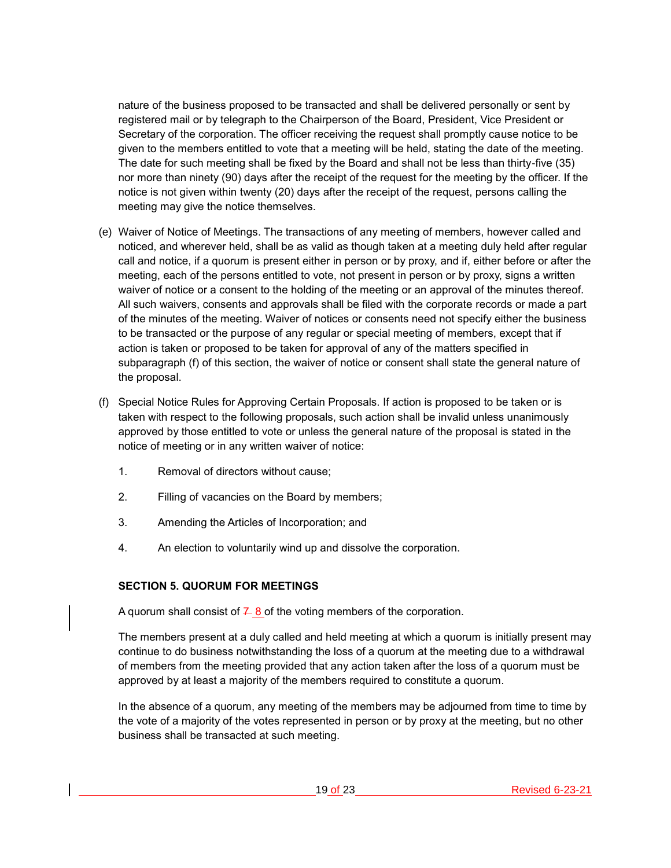nature of the business proposed to be transacted and shall be delivered personally or sent by registered mail or by telegraph to the Chairperson of the Board, President, Vice President or Secretary of the corporation. The officer receiving the request shall promptly cause notice to be given to the members entitled to vote that a meeting will be held, stating the date of the meeting. The date for such meeting shall be fixed by the Board and shall not be less than thirty-five (35) nor more than ninety (90) days after the receipt of the request for the meeting by the officer. If the notice is not given within twenty (20) days after the receipt of the request, persons calling the meeting may give the notice themselves.

- (e) Waiver of Notice of Meetings. The transactions of any meeting of members, however called and noticed, and wherever held, shall be as valid as though taken at a meeting duly held after regular call and notice, if a quorum is present either in person or by proxy, and if, either before or after the meeting, each of the persons entitled to vote, not present in person or by proxy, signs a written waiver of notice or a consent to the holding of the meeting or an approval of the minutes thereof. All such waivers, consents and approvals shall be filed with the corporate records or made a part of the minutes of the meeting. Waiver of notices or consents need not specify either the business to be transacted or the purpose of any regular or special meeting of members, except that if action is taken or proposed to be taken for approval of any of the matters specified in subparagraph (f) of this section, the waiver of notice or consent shall state the general nature of the proposal.
- (f) Special Notice Rules for Approving Certain Proposals. If action is proposed to be taken or is taken with respect to the following proposals, such action shall be invalid unless unanimously approved by those entitled to vote or unless the general nature of the proposal is stated in the notice of meeting or in any written waiver of notice:
	- 1. Removal of directors without cause;
	- 2. Filling of vacancies on the Board by members;
	- 3. Amending the Articles of Incorporation; and
	- 4. An election to voluntarily wind up and dissolve the corporation.

# **SECTION 5. QUORUM FOR MEETINGS**

A quorum shall consist of  $7 - 8$  of the voting members of the corporation.

The members present at a duly called and held meeting at which a quorum is initially present may continue to do business notwithstanding the loss of a quorum at the meeting due to a withdrawal of members from the meeting provided that any action taken after the loss of a quorum must be approved by at least a majority of the members required to constitute a quorum.

In the absence of a quorum, any meeting of the members may be adjourned from time to time by the vote of a majority of the votes represented in person or by proxy at the meeting, but no other business shall be transacted at such meeting.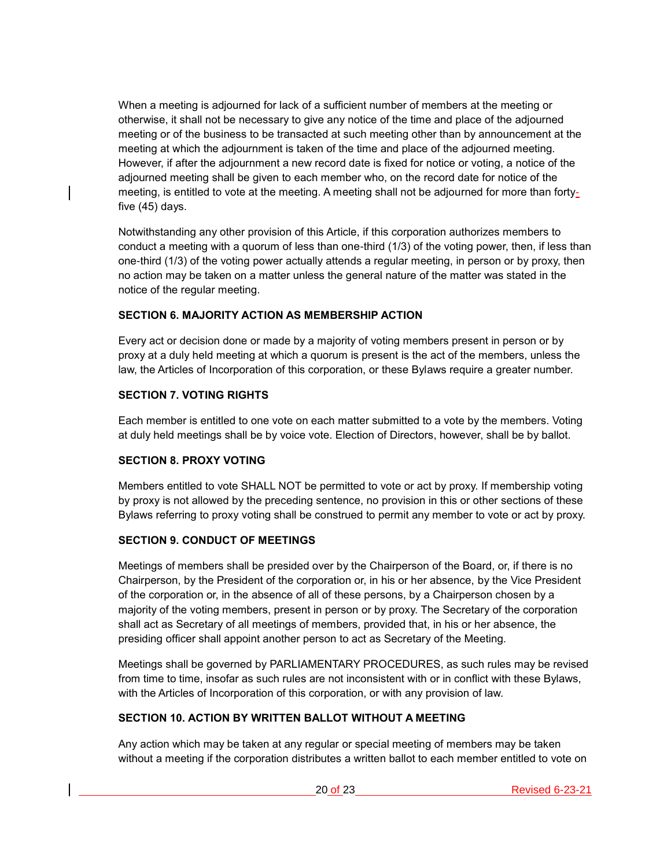When a meeting is adjourned for lack of a sufficient number of members at the meeting or otherwise, it shall not be necessary to give any notice of the time and place of the adjourned meeting or of the business to be transacted at such meeting other than by announcement at the meeting at which the adjournment is taken of the time and place of the adjourned meeting. However, if after the adjournment a new record date is fixed for notice or voting, a notice of the adjourned meeting shall be given to each member who, on the record date for notice of the meeting, is entitled to vote at the meeting. A meeting shall not be adjourned for more than fortyfive (45) days.

Notwithstanding any other provision of this Article, if this corporation authorizes members to conduct a meeting with a quorum of less than one-third (1/3) of the voting power, then, if less than one-third (1/3) of the voting power actually attends a regular meeting, in person or by proxy, then no action may be taken on a matter unless the general nature of the matter was stated in the notice of the regular meeting.

# **SECTION 6. MAJORITY ACTION AS MEMBERSHIP ACTION**

Every act or decision done or made by a majority of voting members present in person or by proxy at a duly held meeting at which a quorum is present is the act of the members, unless the law, the Articles of Incorporation of this corporation, or these Bylaws require a greater number.

# **SECTION 7. VOTING RIGHTS**

Each member is entitled to one vote on each matter submitted to a vote by the members. Voting at duly held meetings shall be by voice vote. Election of Directors, however, shall be by ballot.

# **SECTION 8. PROXY VOTING**

Members entitled to vote SHALL NOT be permitted to vote or act by proxy. If membership voting by proxy is not allowed by the preceding sentence, no provision in this or other sections of these Bylaws referring to proxy voting shall be construed to permit any member to vote or act by proxy.

# **SECTION 9. CONDUCT OF MEETINGS**

Meetings of members shall be presided over by the Chairperson of the Board, or, if there is no Chairperson, by the President of the corporation or, in his or her absence, by the Vice President of the corporation or, in the absence of all of these persons, by a Chairperson chosen by a majority of the voting members, present in person or by proxy. The Secretary of the corporation shall act as Secretary of all meetings of members, provided that, in his or her absence, the presiding officer shall appoint another person to act as Secretary of the Meeting.

Meetings shall be governed by PARLIAMENTARY PROCEDURES, as such rules may be revised from time to time, insofar as such rules are not inconsistent with or in conflict with these Bylaws, with the Articles of Incorporation of this corporation, or with any provision of law.

# **SECTION 10. ACTION BY WRITTEN BALLOT WITHOUT A MEETING**

Any action which may be taken at any regular or special meeting of members may be taken without a meeting if the corporation distributes a written ballot to each member entitled to vote on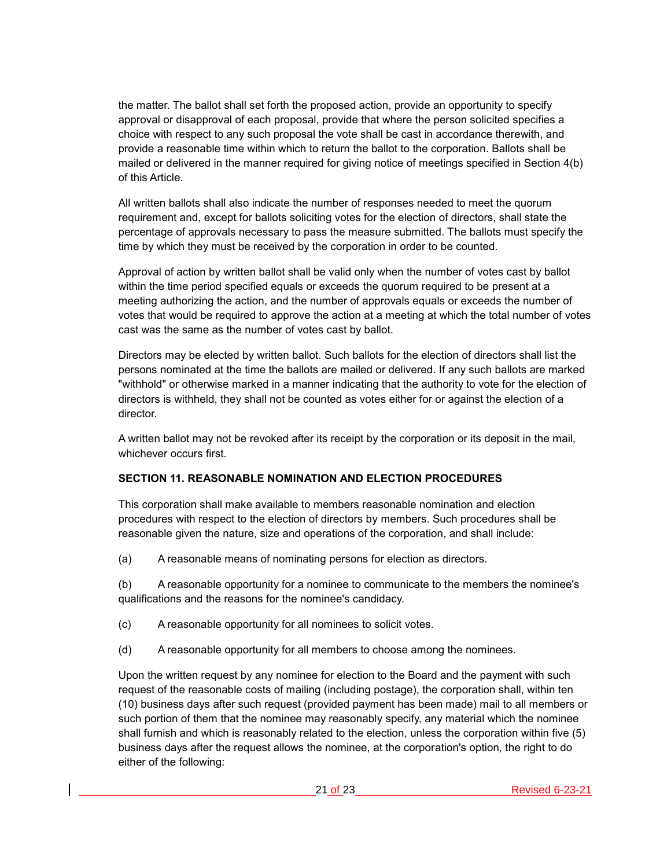the matter. The ballot shall set forth the proposed action, provide an opportunity to specify approval or disapproval of each proposal, provide that where the person solicited specifies a choice with respect to any such proposal the vote shall be cast in accordance therewith, and provide a reasonable time within which to return the ballot to the corporation. Ballots shall be mailed or delivered in the manner required for giving notice of meetings specified in Section 4(b) of this Article.

All written ballots shall also indicate the number of responses needed to meet the quorum requirement and, except for ballots soliciting votes for the election of directors, shall state the percentage of approvals necessary to pass the measure submitted. The ballots must specify the time by which they must be received by the corporation in order to be counted.

Approval of action by written ballot shall be valid only when the number of votes cast by ballot within the time period specified equals or exceeds the quorum required to be present at a meeting authorizing the action, and the number of approvals equals or exceeds the number of votes that would be required to approve the action at a meeting at which the total number of votes cast was the same as the number of votes cast by ballot.

Directors may be elected by written ballot. Such ballots for the election of directors shall list the persons nominated at the time the ballots are mailed or delivered. If any such ballots are marked "withhold" or otherwise marked in a manner indicating that the authority to vote for the election of directors is withheld, they shall not be counted as votes either for or against the election of a director.

A written ballot may not be revoked after its receipt by the corporation or its deposit in the mail, whichever occurs first.

# **SECTION 11. REASONABLE NOMINATION AND ELECTION PROCEDURES**

This corporation shall make available to members reasonable nomination and election procedures with respect to the election of directors by members. Such procedures shall be reasonable given the nature, size and operations of the corporation, and shall include:

(a) A reasonable means of nominating persons for election as directors.

(b) A reasonable opportunity for a nominee to communicate to the members the nominee's qualifications and the reasons for the nominee's candidacy.

(c) A reasonable opportunity for all nominees to solicit votes.

(d) A reasonable opportunity for all members to choose among the nominees.

Upon the written request by any nominee for election to the Board and the payment with such request of the reasonable costs of mailing (including postage), the corporation shall, within ten (10) business days after such request (provided payment has been made) mail to all members or such portion of them that the nominee may reasonably specify, any material which the nominee shall furnish and which is reasonably related to the election, unless the corporation within five (5) business days after the request allows the nominee, at the corporation's option, the right to do either of the following: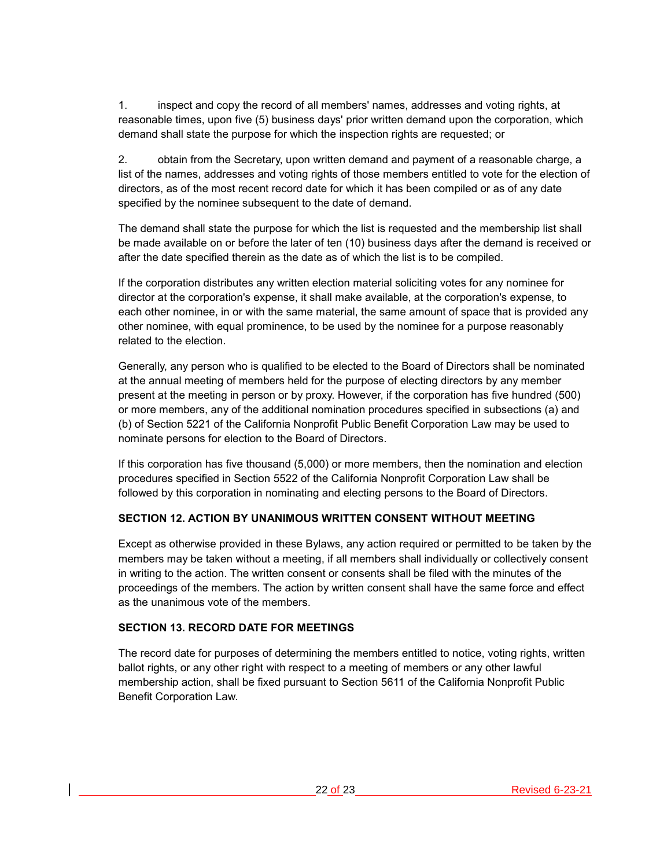1. inspect and copy the record of all members' names, addresses and voting rights, at reasonable times, upon five (5) business days' prior written demand upon the corporation, which demand shall state the purpose for which the inspection rights are requested; or

2. obtain from the Secretary, upon written demand and payment of a reasonable charge, a list of the names, addresses and voting rights of those members entitled to vote for the election of directors, as of the most recent record date for which it has been compiled or as of any date specified by the nominee subsequent to the date of demand.

The demand shall state the purpose for which the list is requested and the membership list shall be made available on or before the later of ten (10) business days after the demand is received or after the date specified therein as the date as of which the list is to be compiled.

If the corporation distributes any written election material soliciting votes for any nominee for director at the corporation's expense, it shall make available, at the corporation's expense, to each other nominee, in or with the same material, the same amount of space that is provided any other nominee, with equal prominence, to be used by the nominee for a purpose reasonably related to the election.

Generally, any person who is qualified to be elected to the Board of Directors shall be nominated at the annual meeting of members held for the purpose of electing directors by any member present at the meeting in person or by proxy. However, if the corporation has five hundred (500) or more members, any of the additional nomination procedures specified in subsections (a) and (b) of Section 5221 of the California Nonprofit Public Benefit Corporation Law may be used to nominate persons for election to the Board of Directors.

If this corporation has five thousand (5,000) or more members, then the nomination and election procedures specified in Section 5522 of the California Nonprofit Corporation Law shall be followed by this corporation in nominating and electing persons to the Board of Directors.

# **SECTION 12. ACTION BY UNANIMOUS WRITTEN CONSENT WITHOUT MEETING**

Except as otherwise provided in these Bylaws, any action required or permitted to be taken by the members may be taken without a meeting, if all members shall individually or collectively consent in writing to the action. The written consent or consents shall be filed with the minutes of the proceedings of the members. The action by written consent shall have the same force and effect as the unanimous vote of the members.

# **SECTION 13. RECORD DATE FOR MEETINGS**

The record date for purposes of determining the members entitled to notice, voting rights, written ballot rights, or any other right with respect to a meeting of members or any other lawful membership action, shall be fixed pursuant to Section 5611 of the California Nonprofit Public Benefit Corporation Law.